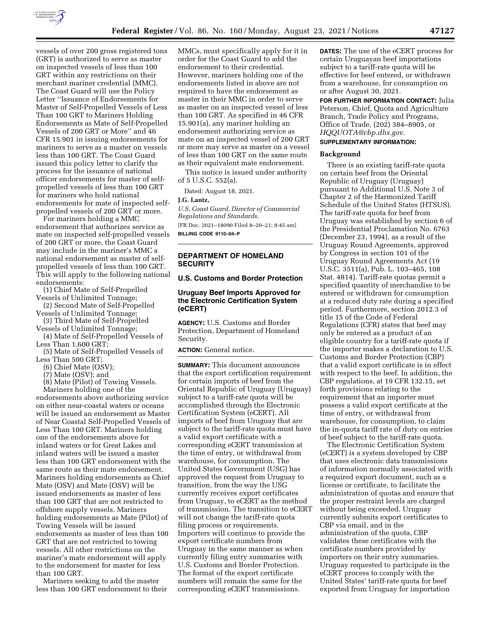

vessels of over 200 gross registered tons (GRT) is authorized to serve as master on inspected vessels of less than 100 GRT within any restrictions on their merchant mariner credential (MMC). The Coast Guard will use the Policy Letter ''Issuance of Endorsements for Master of Self-Propelled Vessels of Less Than 100 GRT to Mariners Holding Endorsements as Mate of Self-Propelled Vessels of 200 GRT or More'' and 46 CFR 15.901 in issuing endorsements for mariners to serve as a master on vessels less than 100 GRT. The Coast Guard issued this policy letter to clarify the process for the issuance of national officer endorsements for master of selfpropelled vessels of less than 100 GRT for mariners who hold national endorsements for mate of inspected selfpropelled vessels of 200 GRT or more.

For mariners holding a MMC endorsement that authorizes service as mate on inspected self-propelled vessels of 200 GRT or more, the Coast Guard may include in the mariner's MMC a national endorsement as master of selfpropelled vessels of less than 100 GRT. This will apply to the following national endorsements:

(1) Chief Mate of Self-Propelled Vessels of Unlimited Tonnage;

- (2) Second Mate of Self-Propelled Vessels of Unlimited Tonnage;
- (3) Third Mate of Self-Propelled Vessels of Unlimited Tonnage;

(4) Mate of Self-Propelled Vessels of Less Than 1,600 GRT;

(5) Mate of Self-Propelled Vessels of Less Than 500 GRT;

(6) Chief Mate (OSV);

(7) Mate (OSV); and

(8) Mate (Pilot) of Towing Vessels.

Mariners holding one of the endorsements above authorizing service on either near-coastal waters or oceans will be issued an endorsement as Master of Near Coastal Self-Propelled Vessels of Less Than 100 GRT. Mariners holding one of the endorsements above for inland waters or for Great Lakes and inland waters will be issued a master less than 100 GRT endorsement with the same route as their mate endorsement. Mariners holding endorsements as Chief Mate (OSV) and Mate (OSV) will be issued endorsements as master of less than 100 GRT that are not restricted to offshore supply vessels. Mariners holding endorsements as Mate (Pilot) of Towing Vessels will be issued endorsements as master of less than 100 GRT that are not restricted to towing vessels. All other restrictions on the mariner's mate endorsement will apply to the endorsement for master for less than 100 GRT.

Mariners seeking to add the master less than 100 GRT endorsement to their

MMCs, must specifically apply for it in order for the Coast Guard to add the endorsement to their credential. However, mariners holding one of the endorsements listed in above are not required to have the endorsement as master in their MMC in order to serve as master on an inspected vessel of less than 100 GRT. As specified in 46 CFR 15.901(a), any mariner holding an endorsement authorizing service as mate on an inspected vessel of 200 GRT or more may serve as master on a vessel of less than 100 GRT on the same route as their equivalent mate endorsement.

This notice is issued under authority of 5 U.S.C. 552(a).

Dated: August 18, 2021.

#### **J.G. Lantz,**

*U.S. Coast Guard, Director of Commercial Regulations and Standards.*  [FR Doc. 2021–18090 Filed 8–20–21; 8:45 am]

**BILLING CODE 9110–04–P** 

# **DEPARTMENT OF HOMELAND SECURITY**

#### **U.S. Customs and Border Protection**

# **Uruguay Beef Imports Approved for the Electronic Certification System (eCERT)**

**AGENCY:** U.S. Customs and Border Protection, Department of Homeland Security.

#### **ACTION:** General notice.

**SUMMARY:** This document announces that the export certification requirement for certain imports of beef from the Oriental Republic of Uruguay (Uruguay) subject to a tariff-rate quota will be accomplished through the Electronic Certification System (eCERT). All imports of beef from Uruguay that are subject to the tariff-rate quota must have a valid export certificate with a corresponding eCERT transmission at the time of entry, or withdrawal from warehouse, for consumption. The United States Government (USG) has approved the request from Uruguay to transition, from the way the USG currently receives export certificates from Uruguay, to eCERT as the method of transmission. The transition to eCERT will not change the tariff-rate quota filing process or requirements. Importers will continue to provide the export certificate numbers from Uruguay in the same manner as when currently filing entry summaries with U.S. Customs and Border Protection. The format of the export certificate numbers will remain the same for the corresponding eCERT transmissions.

**DATES:** The use of the eCERT process for certain Uruguayan beef importations subject to a tariff-rate quota will be effective for beef entered, or withdrawn from a warehouse, for consumption on or after August 30, 2021.

**FOR FURTHER INFORMATION CONTACT:** Julia Peterson, Chief, Quota and Agriculture Branch, Trade Policy and Programs, Office of Trade, (202) 384–8905, or *[HQQUOTA@cbp.dhs.gov.](mailto:HQQUOTA@cbp.dhs.gov)* 

# **SUPPLEMENTARY INFORMATION:**

# **Background**

There is an existing tariff-rate quota on certain beef from the Oriental Republic of Uruguay (Uruguay) pursuant to Additional U.S. Note 3 of Chapter 2 of the Harmonized Tariff Schedule of the United States (HTSUS). The tariff-rate quota for beef from Uruguay was established by section 6 of the Presidential Proclamation No. 6763 (December 23, 1994), as a result of the Uruguay Round Agreements, approved by Congress in section 101 of the Uruguay Round Agreements Act (19 U.S.C. 3511(a), Pub. L. 103–465, 108 Stat. 4814). Tariff-rate quotas permit a specified quantity of merchandise to be entered or withdrawn for consumption at a reduced duty rate during a specified period. Furthermore, section 2012.3 of title 15 of the Code of Federal Regulations (CFR) states that beef may only be entered as a product of an eligible country for a tariff-rate quota if the importer makes a declaration to U.S. Customs and Border Protection (CBP) that a valid export certificate is in effect with respect to the beef. In addition, the CBP regulations, at 19 CFR 132.15, set forth provisions relating to the requirement that an importer must possess a valid export certificate at the time of entry, or withdrawal from warehouse, for consumption, to claim the in-quota tariff rate of duty on entries of beef subject to the tariff-rate quota.

The Electronic Certification System (eCERT) is a system developed by CBP that uses electronic data transmissions of information normally associated with a required export document, such as a license or certificate, to facilitate the administration of quotas and ensure that the proper restraint levels are charged without being exceeded. Uruguay currently submits export certificates to CBP via email, and in the administration of the quota, CBP validates these certificates with the certificate numbers provided by importers on their entry summaries. Uruguay requested to participate in the eCERT process to comply with the United States' tariff-rate quota for beef exported from Uruguay for importation